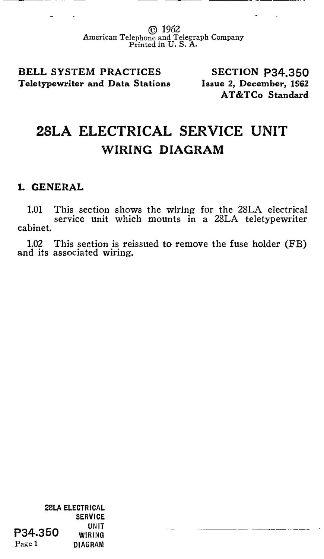© 1962 American Telephone and Telegraph Company Printed in U. S. A.

BELL SYSTEM PRACTICES Teletypewriter and Data Stations

SECTION P34.350 Issue 2, December, 1962 AT&TCo Standard

## 28LA ELECTRICAL SERVICE UNIT WIRING DIAGRAM

## 1. GENERAL

1.01 This section shows the wiring for the 28LA electrical service unit which mounts in a 28LA teletypewriter cabinet.

1.02 This section is reissued to remove the fuse holder (FB) and its associated wiring.

2SLA ELECTRICAL SERVICE **P34.350 WIRING** Page 1 DIAGRAM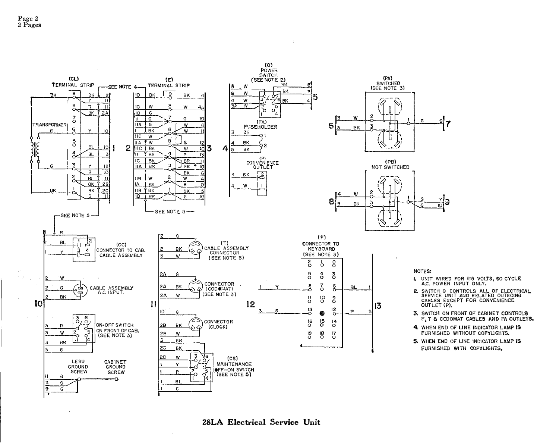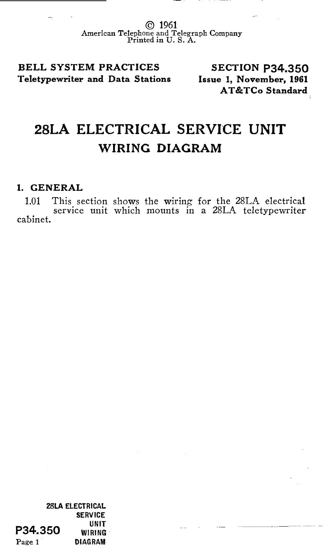© 1961 American Telephone and Telegraph Company Printed in U.S. A.

BELL SYSTEM PRACTICES Teletypewriter and Data Stations

SECTION P34.350 Issue 1, November, 1961 AT &TCo Standard

## 28LA ELECTRICAL SERVICE UNIT WIRING DIAGRAM

## 1. GENERAL

1.01 This section shows the wiring for the 28LA electrical service unit which mounts in a 28LA teletypewriter cabinet.

28LA ELECTRICAL SERVICE **P34.350** WIRING Page 1 DIAGRAM